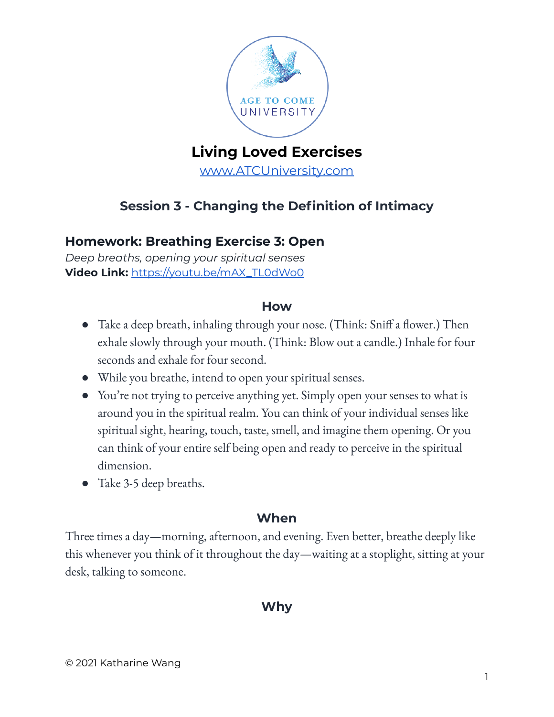

# **Living Loved Exercises**

[www.ATCUniversity.com](http://www.atcuniversity.com)

## **Session 3 - Changing the Definition of Intimacy**

## **Homework: Breathing Exercise 3: Open**

*Deep breaths, opening your spiritual senses* **Video Link:** [https://youtu.be/mAX\\_TL0dWo0](https://youtu.be/mAX_TL0dWo0)

#### **How**

- Take a deep breath, inhaling through your nose. (Think: Sniff a flower.) Then exhale slowly through your mouth. (Think: Blow out a candle.) Inhale for four seconds and exhale for four second.
- While you breathe, intend to open your spiritual senses.
- You're not trying to perceive anything yet. Simply open your senses to what is around you in the spiritual realm. You can think of your individual senses like spiritual sight, hearing, touch, taste, smell, and imagine them opening. Or you can think of your entire self being open and ready to perceive in the spiritual dimension.
- Take 3-5 deep breaths.

### **When**

Three times a day—morning, afternoon, and evening. Even better, breathe deeply like this whenever you think of it throughout the day—waiting at a stoplight, sitting at your desk, talking to someone.

## **Why**